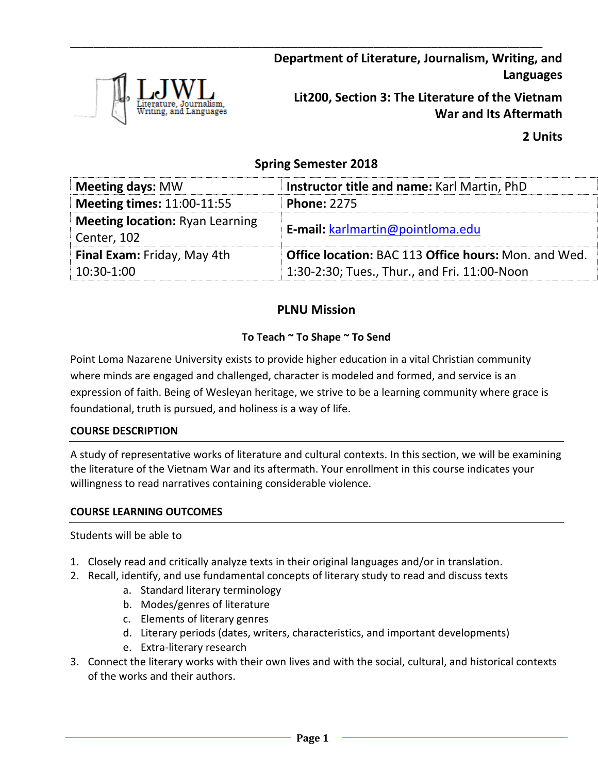

**Department of Literature, Journalism, Writing, and Languages**

**Lit200, Section 3: The Literature of the Vietnam War and Its Aftermath**

**2 Units**

## **Spring Semester 2018**

\_\_\_\_\_\_\_\_\_\_\_\_\_\_\_\_\_\_\_\_\_\_\_\_\_\_\_\_\_\_\_\_\_\_\_\_\_\_\_\_\_\_\_\_\_\_\_\_\_\_\_\_\_\_\_\_\_\_\_\_\_\_\_\_\_\_\_\_\_\_\_\_\_\_\_\_\_\_\_\_\_

| <b>Meeting days: MW</b>                               | <b>Instructor title and name: Karl Martin, PhD</b>          |  |  |
|-------------------------------------------------------|-------------------------------------------------------------|--|--|
| <b>Meeting times: 11:00-11:55</b>                     | <b>Phone: 2275</b>                                          |  |  |
| <b>Meeting location: Ryan Learning</b><br>Center, 102 | E-mail: karlmartin@pointloma.edu                            |  |  |
| Final Exam: Friday, May 4th                           | <b>Office location: BAC 113 Office hours: Mon. and Wed.</b> |  |  |
| 10:30-1:00                                            | 1:30-2:30; Tues., Thur., and Fri. 11:00-Noon                |  |  |

# **PLNU Mission**

## **To Teach ~ To Shape ~ To Send**

Point Loma Nazarene University exists to provide higher education in a vital Christian community where minds are engaged and challenged, character is modeled and formed, and service is an expression of faith. Being of Wesleyan heritage, we strive to be a learning community where grace is foundational, truth is pursued, and holiness is a way of life.

## **COURSE DESCRIPTION**

A study of representative works of literature and cultural contexts. In this section, we will be examining the literature of the Vietnam War and its aftermath. Your enrollment in this course indicates your willingness to read narratives containing considerable violence.

## **COURSE LEARNING OUTCOMES**

## Students will be able to

- 1. Closely read and critically analyze texts in their original languages and/or in translation.
- 2. Recall, identify, and use fundamental concepts of literary study to read and discuss texts
	- a. Standard literary terminology
	- b. Modes/genres of literature
	- c. Elements of literary genres
	- d. Literary periods (dates, writers, characteristics, and important developments)
	- e. Extra-literary research
- 3. Connect the literary works with their own lives and with the social, cultural, and historical contexts of the works and their authors.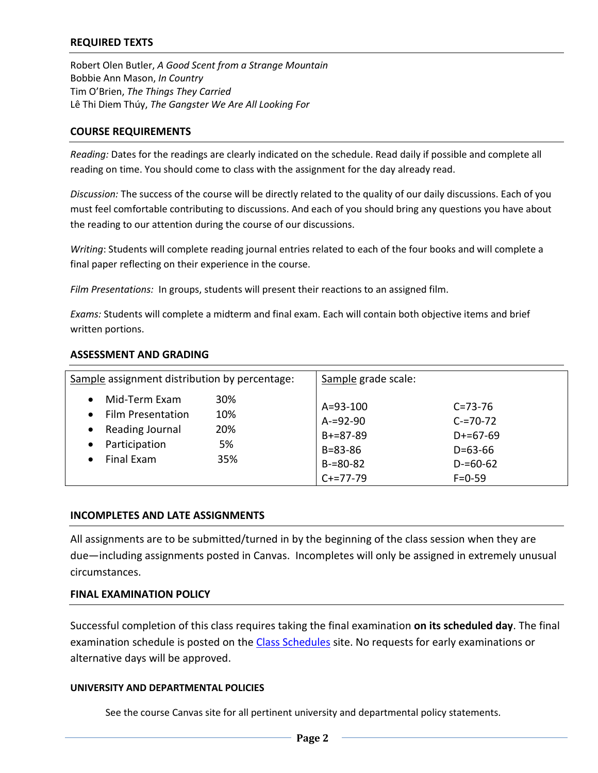#### **REQUIRED TEXTS**

Robert Olen Butler, *A Good Scent from a Strange Mountain* Bobbie Ann Mason, *In Country* Tim O'Brien, *The Things They Carried* Lê Thi Diem Thúy, *The Gangster We Are All Looking For*

#### **COURSE REQUIREMENTS**

*Reading:* Dates for the readings are clearly indicated on the schedule. Read daily if possible and complete all reading on time. You should come to class with the assignment for the day already read.

*Discussion:* The success of the course will be directly related to the quality of our daily discussions. Each of you must feel comfortable contributing to discussions. And each of you should bring any questions you have about the reading to our attention during the course of our discussions.

*Writing*: Students will complete reading journal entries related to each of the four books and will complete a final paper reflecting on their experience in the course.

*Film Presentations:* In groups, students will present their reactions to an assigned film.

*Exams:* Students will complete a midterm and final exam. Each will contain both objective items and brief written portions.

| Sample assignment distribution by percentage:                                                                                                   |                                | Sample grade scale:                                                                                |                                                                                            |
|-------------------------------------------------------------------------------------------------------------------------------------------------|--------------------------------|----------------------------------------------------------------------------------------------------|--------------------------------------------------------------------------------------------|
| Mid-Term Exam<br>$\bullet$<br><b>Film Presentation</b><br>$\bullet$<br>Reading Journal<br>Participation<br>$\bullet$<br>Final Exam<br>$\bullet$ | 30%<br>10%<br>20%<br>5%<br>35% | $A = 93 - 100$<br>$A = 92 - 90$<br>$B + = 87 - 89$<br>$B = 83 - 86$<br>$B = 80 - 82$<br>$C+=77-79$ | $C = 73 - 76$<br>$C = 70-72$<br>$D+=67-69$<br>$D = 63 - 66$<br>$D = 60 - 62$<br>$F = 0.59$ |

#### **ASSESSMENT AND GRADING**

#### **INCOMPLETES AND LATE ASSIGNMENTS**

All assignments are to be submitted/turned in by the beginning of the class session when they are due—including assignments posted in Canvas. Incompletes will only be assigned in extremely unusual circumstances.

#### **FINAL EXAMINATION POLICY**

Successful completion of this class requires taking the final examination **on its scheduled day**. The final examination schedule is posted on the [Class Schedules](http://www.pointloma.edu/experience/academics/class-schedules) site. No requests for early examinations or alternative days will be approved.

#### **UNIVERSITY AND DEPARTMENTAL POLICIES**

See the course Canvas site for all pertinent university and departmental policy statements.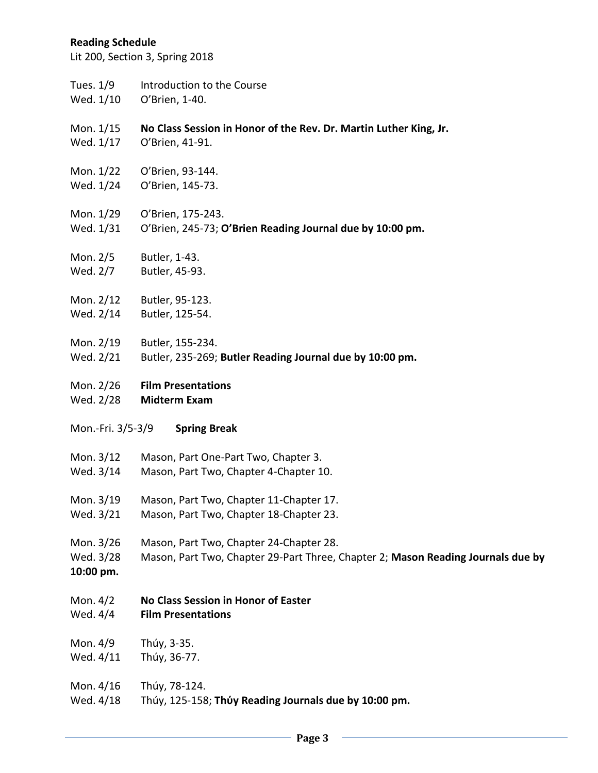#### **Reading Schedule**

Lit 200, Section 3, Spring 2018

- Tues. 1/9 Introduction to the Course
- Wed. 1/10 O'Brien, 1-40.
- Mon. 1/15 **No Class Session in Honor of the Rev. Dr. Martin Luther King, Jr.**
- Wed. 1/17 O'Brien, 41-91.
- Mon. 1/22 O'Brien, 93-144.
- Wed. 1/24 O'Brien, 145-73.
- Mon. 1/29 O'Brien, 175-243.
- Wed. 1/31 O'Brien, 245-73; **O'Brien Reading Journal due by 10:00 pm.**
- Mon. 2/5 Butler, 1-43.
- Wed. 2/7 Butler, 45-93.
- Mon. 2/12 Butler, 95-123.
- Wed. 2/14 Butler, 125-54.
- Mon. 2/19 Butler, 155-234.
- Wed. 2/21 Butler, 235-269; **Butler Reading Journal due by 10:00 pm.**
- Mon. 2/26 **Film Presentations**
- Wed. 2/28 **Midterm Exam**
- Mon.-Fri. 3/5-3/9 **Spring Break**
- Mon. 3/12 Mason, Part One-Part Two, Chapter 3.
- Wed. 3/14 Mason, Part Two, Chapter 4-Chapter 10.
- Mon. 3/19 Mason, Part Two, Chapter 11-Chapter 17.
- Wed. 3/21 Mason, Part Two, Chapter 18-Chapter 23.
- Mon. 3/26 Mason, Part Two, Chapter 24-Chapter 28.
- Wed. 3/28 Mason, Part Two, Chapter 29-Part Three, Chapter 2; **Mason Reading Journals due by**
- **10:00 pm.**
- Mon. 4/2 **No Class Session in Honor of Easter**
- Wed. 4/4 **Film Presentations**
- Mon. 4/9 Thúy, 3-35.
- Wed. 4/11 Thúy, 36-77.
- Mon. 4/16 Thúy, 78-124.
- Wed. 4/18 Thúy, 125-158; **Thύy Reading Journals due by 10:00 pm.**